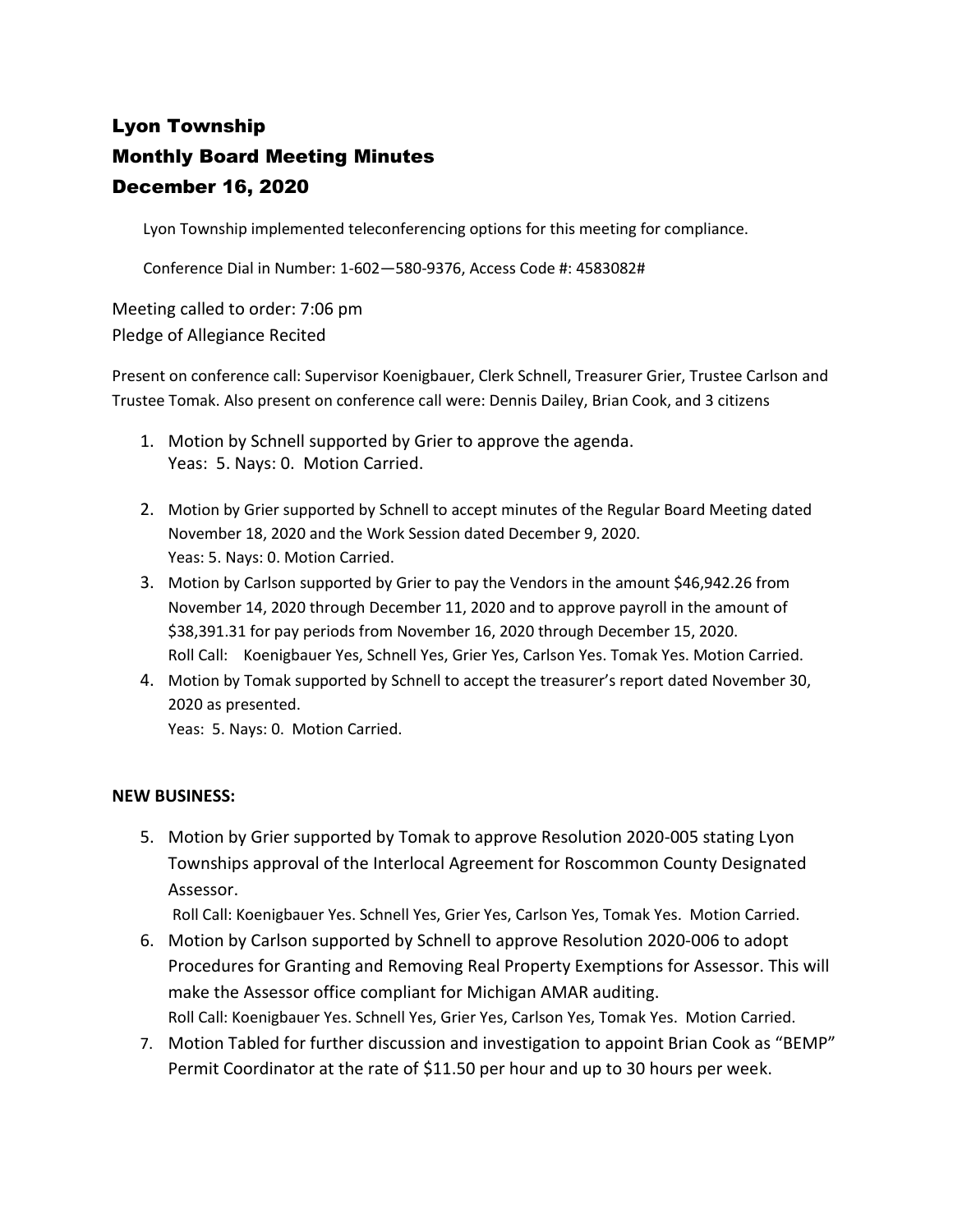# Lyon Township Monthly Board Meeting Minutes December 16, 2020

Lyon Township implemented teleconferencing options for this meeting for compliance.

Conference Dial in Number: 1-602—580-9376, Access Code #: 4583082#

Meeting called to order: 7:06 pm Pledge of Allegiance Recited

Present on conference call: Supervisor Koenigbauer, Clerk Schnell, Treasurer Grier, Trustee Carlson and Trustee Tomak. Also present on conference call were: Dennis Dailey, Brian Cook, and 3 citizens

- 1. Motion by Schnell supported by Grier to approve the agenda. Yeas: 5. Nays: 0. Motion Carried.
- 2. Motion by Grier supported by Schnell to accept minutes of the Regular Board Meeting dated November 18, 2020 and the Work Session dated December 9, 2020. Yeas: 5. Nays: 0. Motion Carried.
- 3. Motion by Carlson supported by Grier to pay the Vendors in the amount \$46,942.26 from November 14, 2020 through December 11, 2020 and to approve payroll in the amount of \$38,391.31 for pay periods from November 16, 2020 through December 15, 2020. Roll Call: Koenigbauer Yes, Schnell Yes, Grier Yes, Carlson Yes. Tomak Yes. Motion Carried.
- 4. Motion by Tomak supported by Schnell to accept the treasurer's report dated November 30, 2020 as presented.

Yeas: 5. Nays: 0. Motion Carried.

# **NEW BUSINESS:**

5. Motion by Grier supported by Tomak to approve Resolution 2020-005 stating Lyon Townships approval of the Interlocal Agreement for Roscommon County Designated Assessor.

Roll Call: Koenigbauer Yes. Schnell Yes, Grier Yes, Carlson Yes, Tomak Yes. Motion Carried.

- 6. Motion by Carlson supported by Schnell to approve Resolution 2020-006 to adopt Procedures for Granting and Removing Real Property Exemptions for Assessor. This will make the Assessor office compliant for Michigan AMAR auditing. Roll Call: Koenigbauer Yes. Schnell Yes, Grier Yes, Carlson Yes, Tomak Yes. Motion Carried.
- 7. Motion Tabled for further discussion and investigation to appoint Brian Cook as "BEMP" Permit Coordinator at the rate of \$11.50 per hour and up to 30 hours per week.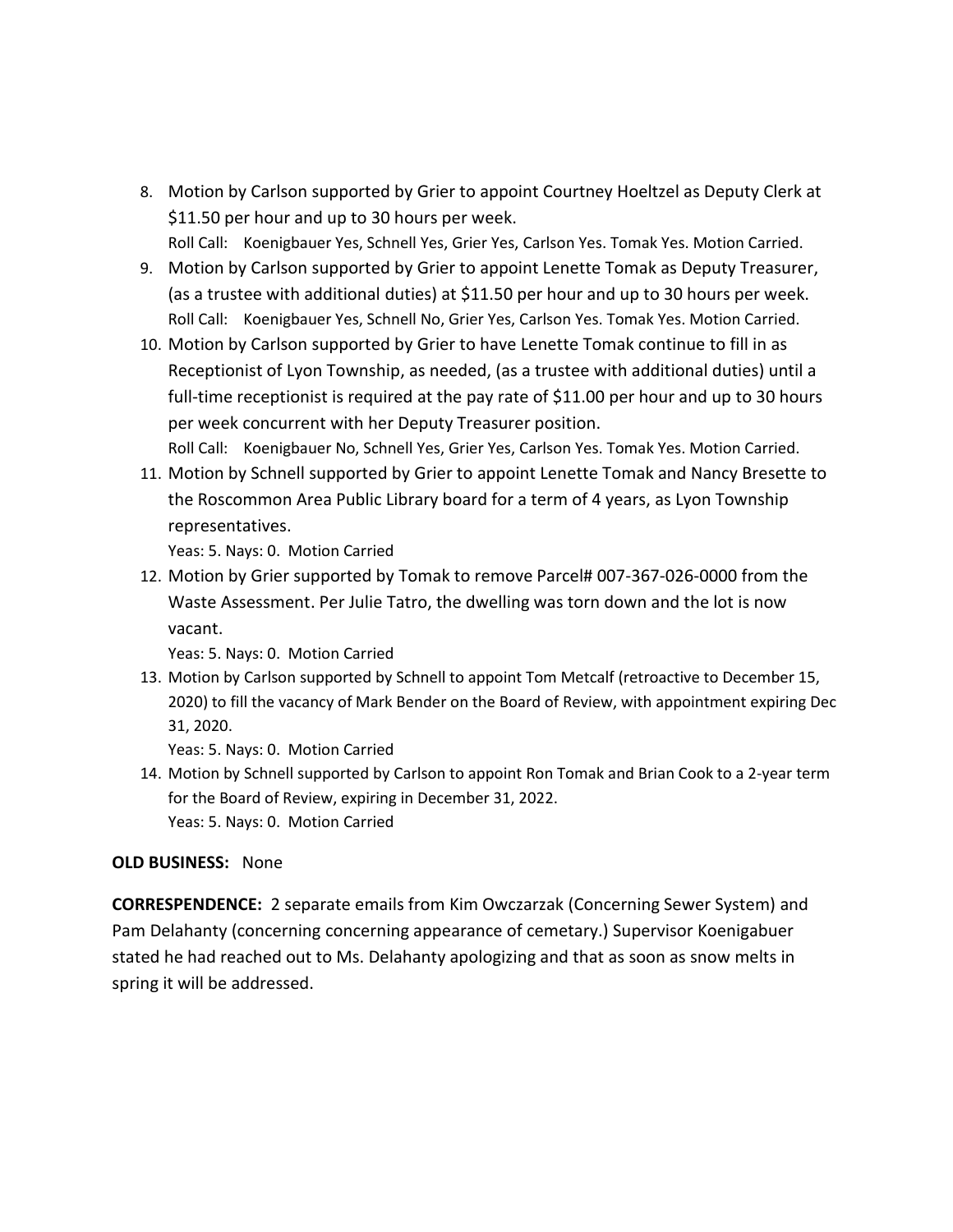- 8. Motion by Carlson supported by Grier to appoint Courtney Hoeltzel as Deputy Clerk at \$11.50 per hour and up to 30 hours per week. Roll Call: Koenigbauer Yes, Schnell Yes, Grier Yes, Carlson Yes. Tomak Yes. Motion Carried.
- 9. Motion by Carlson supported by Grier to appoint Lenette Tomak as Deputy Treasurer, (as a trustee with additional duties) at \$11.50 per hour and up to 30 hours per week. Roll Call: Koenigbauer Yes, Schnell No, Grier Yes, Carlson Yes. Tomak Yes. Motion Carried.
- 10. Motion by Carlson supported by Grier to have Lenette Tomak continue to fill in as Receptionist of Lyon Township, as needed, (as a trustee with additional duties) until a full-time receptionist is required at the pay rate of \$11.00 per hour and up to 30 hours per week concurrent with her Deputy Treasurer position. Roll Call: Koenigbauer No, Schnell Yes, Grier Yes, Carlson Yes. Tomak Yes. Motion Carried.
- 11. Motion by Schnell supported by Grier to appoint Lenette Tomak and Nancy Bresette to the Roscommon Area Public Library board for a term of 4 years, as Lyon Township representatives.

Yeas: 5. Nays: 0. Motion Carried

12. Motion by Grier supported by Tomak to remove Parcel# 007-367-026-0000 from the Waste Assessment. Per Julie Tatro, the dwelling was torn down and the lot is now vacant.

Yeas: 5. Nays: 0. Motion Carried

13. Motion by Carlson supported by Schnell to appoint Tom Metcalf (retroactive to December 15, 2020) to fill the vacancy of Mark Bender on the Board of Review, with appointment expiring Dec 31, 2020.

Yeas: 5. Nays: 0. Motion Carried

14. Motion by Schnell supported by Carlson to appoint Ron Tomak and Brian Cook to a 2-year term for the Board of Review, expiring in December 31, 2022. Yeas: 5. Nays: 0. Motion Carried

# **OLD BUSINESS:** None

**CORRESPENDENCE:** 2 separate emails from Kim Owczarzak (Concerning Sewer System) and Pam Delahanty (concerning concerning appearance of cemetary.) Supervisor Koenigabuer stated he had reached out to Ms. Delahanty apologizing and that as soon as snow melts in spring it will be addressed.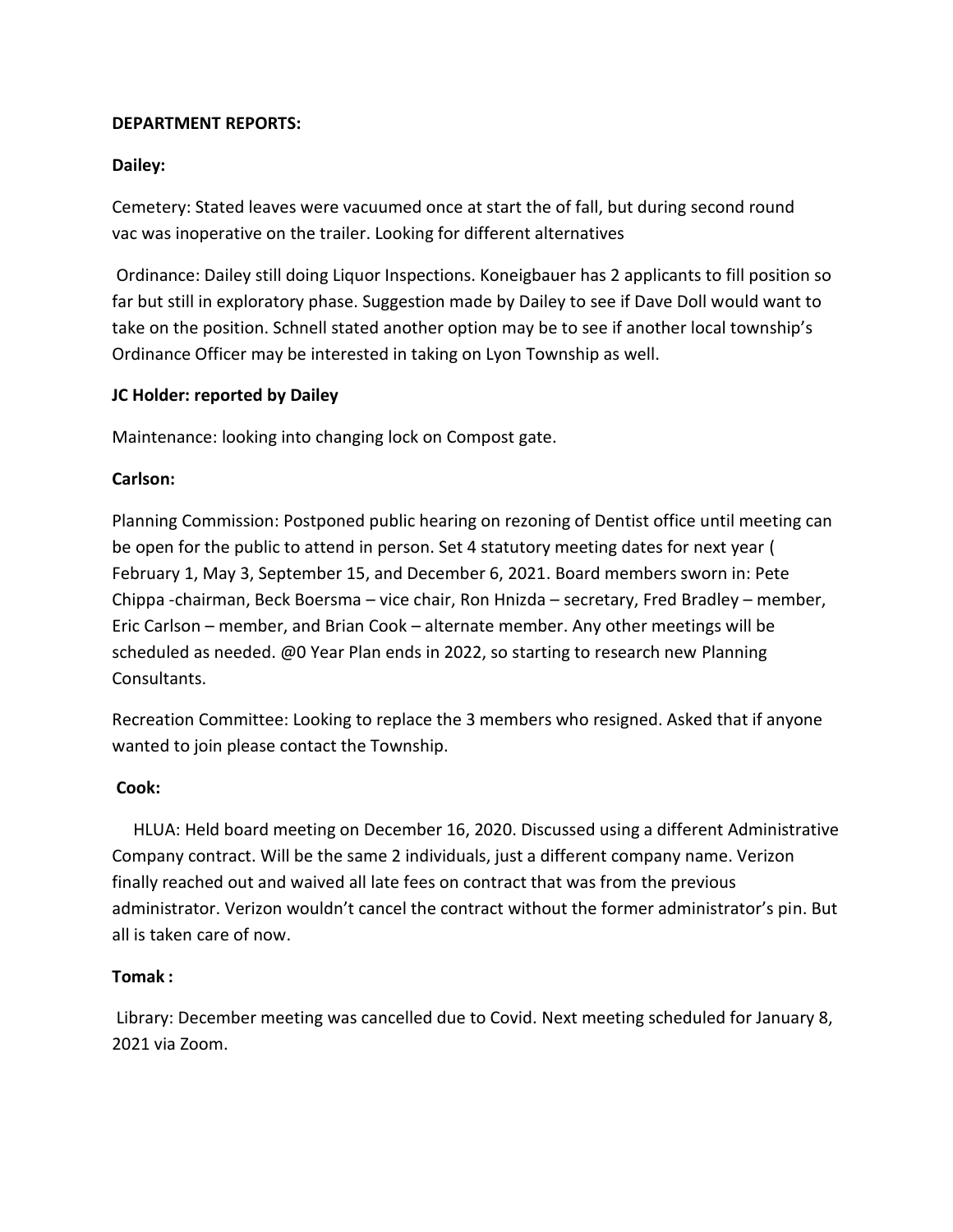# **DEPARTMENT REPORTS:**

# **Dailey:**

Cemetery: Stated leaves were vacuumed once at start the of fall, but during second round vac was inoperative on the trailer. Looking for different alternatives

Ordinance: Dailey still doing Liquor Inspections. Koneigbauer has 2 applicants to fill position so far but still in exploratory phase. Suggestion made by Dailey to see if Dave Doll would want to take on the position. Schnell stated another option may be to see if another local township's Ordinance Officer may be interested in taking on Lyon Township as well.

# **JC Holder: reported by Dailey**

Maintenance: looking into changing lock on Compost gate.

# **Carlson:**

Planning Commission: Postponed public hearing on rezoning of Dentist office until meeting can be open for the public to attend in person. Set 4 statutory meeting dates for next year ( February 1, May 3, September 15, and December 6, 2021. Board members sworn in: Pete Chippa -chairman, Beck Boersma – vice chair, Ron Hnizda – secretary, Fred Bradley – member, Eric Carlson – member, and Brian Cook – alternate member. Any other meetings will be scheduled as needed. @0 Year Plan ends in 2022, so starting to research new Planning Consultants.

Recreation Committee: Looking to replace the 3 members who resigned. Asked that if anyone wanted to join please contact the Township.

# **Cook:**

 HLUA: Held board meeting on December 16, 2020. Discussed using a different Administrative Company contract. Will be the same 2 individuals, just a different company name. Verizon finally reached out and waived all late fees on contract that was from the previous administrator. Verizon wouldn't cancel the contract without the former administrator's pin. But all is taken care of now.

# **Tomak :**

Library: December meeting was cancelled due to Covid. Next meeting scheduled for January 8, 2021 via Zoom.